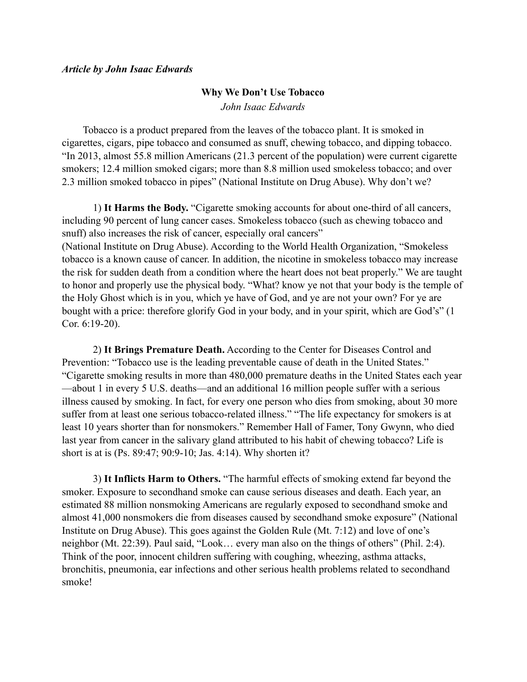#### *Article by John Isaac Edwards*

#### **Why We Don't Use Tobacco**

*John Isaac Edwards*

 Tobacco is a product prepared from the leaves of the tobacco plant. It is smoked in cigarettes, cigars, pipe tobacco and consumed as snuff, chewing tobacco, and dipping tobacco. "In 2013, almost 55.8 million Americans (21.3 percent of the population) were current cigarette smokers; 12.4 million smoked cigars; more than 8.8 million used smokeless tobacco; and over 2.3 million smoked tobacco in pipes" (National Institute on Drug Abuse). Why don't we?

 1) **It Harms the Body.** "Cigarette smoking accounts for about one-third of all cancers, including 90 percent of lung cancer cases. Smokeless tobacco (such as chewing tobacco and snuff) also increases the risk of cancer, especially oral cancers" (National Institute on Drug Abuse). According to the World Health Organization, "Smokeless tobacco is a known cause of cancer. In addition, the nicotine in smokeless tobacco may increase the risk for sudden death from a condition where the heart does not beat properly." We are taught to honor and properly use the physical body. "What? know ye not that your body is the temple of the Holy Ghost which is in you, which ye have of God, and ye are not your own? For ye are bought with a price: therefore glorify God in your body, and in your spirit, which are God's" (1 Cor. 6:19-20).

 2) **It Brings Premature Death.** According to the Center for Diseases Control and Prevention: "Tobacco use is the leading preventable cause of death in the United States." "Cigarette smoking results in more than 480,000 premature deaths in the United States each year —about 1 in every 5 U.S. deaths—and an additional 16 million people suffer with a serious illness caused by smoking. In fact, for every one person who dies from smoking, about 30 more suffer from at least one serious tobacco-related illness." "The life expectancy for smokers is at least 10 years shorter than for nonsmokers." Remember Hall of Famer, Tony Gwynn, who died last year from cancer in the salivary gland attributed to his habit of chewing tobacco? Life is short is at is (Ps. 89:47; 90:9-10; Jas. 4:14). Why shorten it?

 3) **It Inflicts Harm to Others.** "The harmful effects of smoking extend far beyond the smoker. Exposure to secondhand smoke can cause serious diseases and death. Each year, an estimated 88 million nonsmoking Americans are regularly exposed to secondhand smoke and almost 41,000 nonsmokers die from diseases caused by secondhand smoke exposure" (National Institute on Drug Abuse). This goes against the Golden Rule (Mt. 7:12) and love of one's neighbor (Mt. 22:39). Paul said, "Look… every man also on the things of others" (Phil. 2:4). Think of the poor, innocent children suffering with coughing, wheezing, asthma attacks, bronchitis, pneumonia, ear infections and other serious health problems related to secondhand smoke!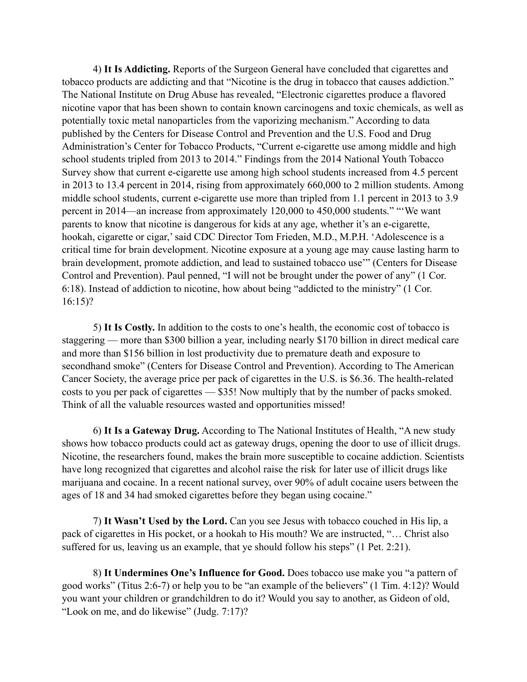4) **It Is Addicting.** Reports of the Surgeon General have concluded that cigarettes and tobacco products are addicting and that "Nicotine is the drug in tobacco that causes addiction." The National Institute on Drug Abuse has revealed, "Electronic cigarettes produce a flavored nicotine vapor that has been shown to contain known carcinogens and toxic chemicals, as well as potentially toxic metal nanoparticles from the vaporizing mechanism." According to data published by the Centers for Disease Control and Prevention and the U.S. Food and Drug Administration's Center for Tobacco Products, "Current e-cigarette use among middle and high school students tripled from 2013 to 2014." Findings from the 2014 National Youth Tobacco Survey show that current e-cigarette use among high school students increased from 4.5 percent in 2013 to 13.4 percent in 2014, rising from approximately 660,000 to 2 million students. Among middle school students, current e-cigarette use more than tripled from 1.1 percent in 2013 to 3.9 percent in 2014—an increase from approximately 120,000 to 450,000 students." "'We want parents to know that nicotine is dangerous for kids at any age, whether it's an e-cigarette, hookah, cigarette or cigar,' said CDC Director Tom Frieden, M.D., M.P.H. 'Adolescence is a critical time for brain development. Nicotine exposure at a young age may cause lasting harm to brain development, promote addiction, and lead to sustained tobacco use'" (Centers for Disease Control and Prevention). Paul penned, "I will not be brought under the power of any" (1 Cor. 6:18). Instead of addiction to nicotine, how about being "addicted to the ministry" (1 Cor. 16:15)?

 5) **It Is Costly.** In addition to the costs to one's health, the economic cost of tobacco is staggering — more than \$300 billion a year, including nearly \$170 billion in direct medical care and more than \$156 billion in lost productivity due to premature death and exposure to secondhand smoke" (Centers for Disease Control and Prevention). According to The American Cancer Society, the average price per pack of cigarettes in the U.S. is \$6.36. The health-related costs to you per pack of cigarettes — \$35! Now multiply that by the number of packs smoked. Think of all the valuable resources wasted and opportunities missed!

 6) **It Is a Gateway Drug.** According to The National Institutes of Health, "A new study shows how tobacco products could act as gateway drugs, opening the door to use of illicit drugs. Nicotine, the researchers found, makes the brain more susceptible to cocaine addiction. Scientists have long recognized that cigarettes and alcohol raise the risk for later use of illicit drugs like marijuana and cocaine. In a recent national survey, over 90% of adult cocaine users between the ages of 18 and 34 had smoked cigarettes before they began using cocaine."

 7) **It Wasn't Used by the Lord.** Can you see Jesus with tobacco couched in His lip, a pack of cigarettes in His pocket, or a hookah to His mouth? We are instructed, "… Christ also suffered for us, leaving us an example, that ye should follow his steps" (1 Pet. 2:21).

 8) **It Undermines One's Influence for Good.** Does tobacco use make you "a pattern of good works" (Titus 2:6-7) or help you to be "an example of the believers" (1 Tim. 4:12)? Would you want your children or grandchildren to do it? Would you say to another, as Gideon of old, "Look on me, and do likewise" (Judg. 7:17)?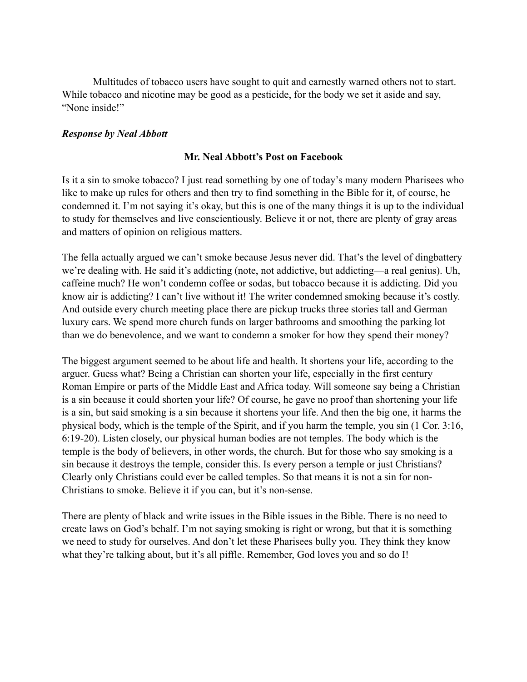Multitudes of tobacco users have sought to quit and earnestly warned others not to start. While tobacco and nicotine may be good as a pesticide, for the body we set it aside and say, "None inside!"

# *Response by Neal Abbott*

## **Mr. Neal Abbott's Post on Facebook**

Is it a sin to smoke tobacco? I just read something by one of today's many modern Pharisees who like to make up rules for others and then try to find something in the Bible for it, of course, he condemned it. I'm not saying it's okay, but this is one of the many things it is up to the individual to study for themselves and live conscientiously. Believe it or not, there are plenty of gray areas and matters of opinion on religious matters.

The fella actually argued we can't smoke because Jesus never did. That's the level of dingbattery we're dealing with. He said it's addicting (note, not addictive, but addicting—a real genius). Uh, caffeine much? He won't condemn coffee or sodas, but tobacco because it is addicting. Did you know air is addicting? I can't live without it! The writer condemned smoking because it's costly. And outside every church meeting place there are pickup trucks three stories tall and German luxury cars. We spend more church funds on larger bathrooms and smoothing the parking lot than we do benevolence, and we want to condemn a smoker for how they spend their money?

The biggest argument seemed to be about life and health. It shortens your life, according to the arguer. Guess what? Being a Christian can shorten your life, especially in the first century Roman Empire or parts of the Middle East and Africa today. Will someone say being a Christian is a sin because it could shorten your life? Of course, he gave no proof than shortening your life is a sin, but said smoking is a sin because it shortens your life. And then the big one, it harms the physical body, which is the temple of the Spirit, and if you harm the temple, you sin (1 Cor. 3:16, 6:19-20). Listen closely, our physical human bodies are not temples. The body which is the temple is the body of believers, in other words, the church. But for those who say smoking is a sin because it destroys the temple, consider this. Is every person a temple or just Christians? Clearly only Christians could ever be called temples. So that means it is not a sin for non-Christians to smoke. Believe it if you can, but it's non-sense.

There are plenty of black and write issues in the Bible issues in the Bible. There is no need to create laws on God's behalf. I'm not saying smoking is right or wrong, but that it is something we need to study for ourselves. And don't let these Pharisees bully you. They think they know what they're talking about, but it's all piffle. Remember, God loves you and so do I!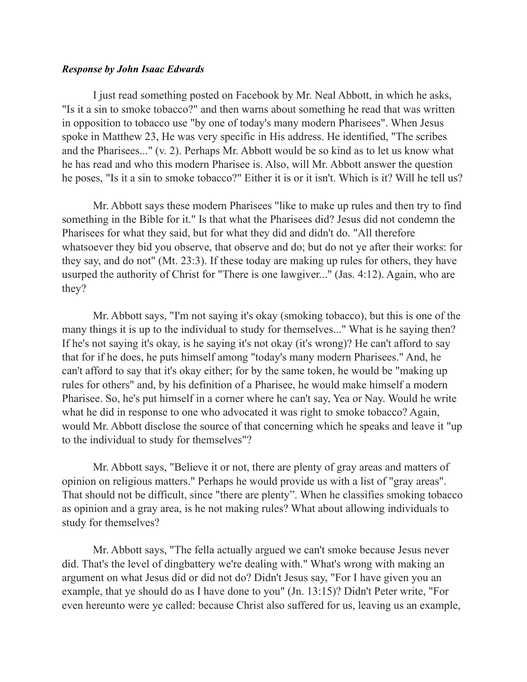## *Response by John Isaac Edwards*

I just read something posted on Facebook by Mr. Neal Abbott, in which he asks, "Is it a sin to smoke tobacco?" and then warns about something he read that was written in opposition to tobacco use "by one of today's many modern Pharisees". When Jesus spoke in Matthew 23, He was very specific in His address. He identified, "The scribes and the Pharisees..." (v. 2). Perhaps Mr. Abbott would be so kind as to let us know what he has read and who this modern Pharisee is. Also, will Mr. Abbott answer the question he poses, "Is it a sin to smoke tobacco?" Either it is or it isn't. Which is it? Will he tell us?

 Mr. Abbott says these modern Pharisees "like to make up rules and then try to find something in the Bible for it." Is that what the Pharisees did? Jesus did not condemn the Pharisees for what they said, but for what they did and didn't do. "All therefore whatsoever they bid you observe, that observe and do; but do not ye after their works: for they say, and do not" (Mt. 23:3). If these today are making up rules for others, they have usurped the authority of Christ for "There is one lawgiver..." (Jas. 4:12). Again, who are they?

Mr. Abbott says, "I'm not saying it's okay (smoking tobacco), but this is one of the many things it is up to the individual to study for themselves..." What is he saying then? If he's not saying it's okay, is he saying it's not okay (it's wrong)? He can't afford to say that for if he does, he puts himself among "today's many modern Pharisees." And, he can't afford to say that it's okay either; for by the same token, he would be "making up rules for others" and, by his definition of a Pharisee, he would make himself a modern Pharisee. So, he's put himself in a corner where he can't say, Yea or Nay. Would he write what he did in response to one who advocated it was right to smoke tobacco? Again, would Mr. Abbott disclose the source of that concerning which he speaks and leave it "up to the individual to study for themselves"?

 Mr. Abbott says, "Believe it or not, there are plenty of gray areas and matters of opinion on religious matters." Perhaps he would provide us with a list of "gray areas". That should not be difficult, since "there are plenty". When he classifies smoking tobacco as opinion and a gray area, is he not making rules? What about allowing individuals to study for themselves?

Mr. Abbott says, "The fella actually argued we can't smoke because Jesus never did. That's the level of dingbattery we're dealing with." What's wrong with making an argument on what Jesus did or did not do? Didn't Jesus say, "For I have given you an example, that ye should do as I have done to you" (Jn. 13:15)? Didn't Peter write, "For even hereunto were ye called: because Christ also suffered for us, leaving us an example,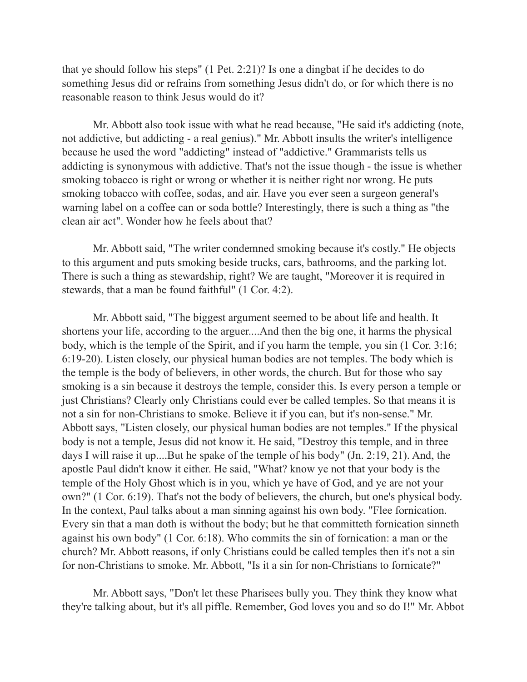that ye should follow his steps" (1 Pet. 2:21)? Is one a dingbat if he decides to do something Jesus did or refrains from something Jesus didn't do, or for which there is no reasonable reason to think Jesus would do it?

Mr. Abbott also took issue with what he read because, "He said it's addicting (note, not addictive, but addicting - a real genius)." Mr. Abbott insults the writer's intelligence because he used the word "addicting" instead of "addictive." Grammarists tells us addicting is synonymous with addictive. That's not the issue though - the issue is whether smoking tobacco is right or wrong or whether it is neither right nor wrong. He puts smoking tobacco with coffee, sodas, and air. Have you ever seen a surgeon general's warning label on a coffee can or soda bottle? Interestingly, there is such a thing as "the clean air act". Wonder how he feels about that?

Mr. Abbott said, "The writer condemned smoking because it's costly." He objects to this argument and puts smoking beside trucks, cars, bathrooms, and the parking lot. There is such a thing as stewardship, right? We are taught, "Moreover it is required in stewards, that a man be found faithful" (1 Cor. 4:2).

Mr. Abbott said, "The biggest argument seemed to be about life and health. It shortens your life, according to the arguer....And then the big one, it harms the physical body, which is the temple of the Spirit, and if you harm the temple, you sin (1 Cor. 3:16; 6:19-20). Listen closely, our physical human bodies are not temples. The body which is the temple is the body of believers, in other words, the church. But for those who say smoking is a sin because it destroys the temple, consider this. Is every person a temple or just Christians? Clearly only Christians could ever be called temples. So that means it is not a sin for non-Christians to smoke. Believe it if you can, but it's non-sense." Mr. Abbott says, "Listen closely, our physical human bodies are not temples." If the physical body is not a temple, Jesus did not know it. He said, "Destroy this temple, and in three days I will raise it up....But he spake of the temple of his body" (Jn. 2:19, 21). And, the apostle Paul didn't know it either. He said, "What? know ye not that your body is the temple of the Holy Ghost which is in you, which ye have of God, and ye are not your own?" (1 Cor. 6:19). That's not the body of believers, the church, but one's physical body. In the context, Paul talks about a man sinning against his own body. "Flee fornication. Every sin that a man doth is without the body; but he that committeth fornication sinneth against his own body" (1 Cor. 6:18). Who commits the sin of fornication: a man or the church? Mr. Abbott reasons, if only Christians could be called temples then it's not a sin for non-Christians to smoke. Mr. Abbott, "Is it a sin for non-Christians to fornicate?"

Mr. Abbott says, "Don't let these Pharisees bully you. They think they know what they're talking about, but it's all piffle. Remember, God loves you and so do I!" Mr. Abbot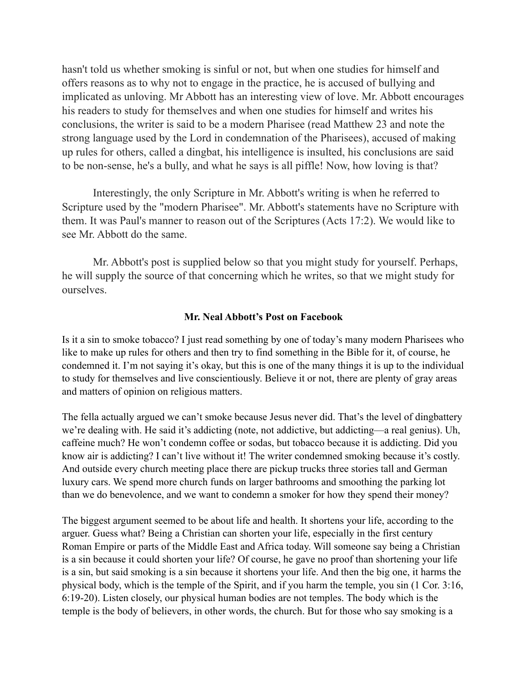hasn't told us whether smoking is sinful or not, but when one studies for himself and offers reasons as to why not to engage in the practice, he is accused of bullying and implicated as unloving. Mr Abbott has an interesting view of love. Mr. Abbott encourages his readers to study for themselves and when one studies for himself and writes his conclusions, the writer is said to be a modern Pharisee (read Matthew 23 and note the strong language used by the Lord in condemnation of the Pharisees), accused of making up rules for others, called a dingbat, his intelligence is insulted, his conclusions are said to be non-sense, he's a bully, and what he says is all piffle! Now, how loving is that?

Interestingly, the only Scripture in Mr. Abbott's writing is when he referred to Scripture used by the "modern Pharisee". Mr. Abbott's statements have no Scripture with them. It was Paul's manner to reason out of the Scriptures (Acts 17:2). We would like to see Mr. Abbott do the same.

Mr. Abbott's post is supplied below so that you might study for yourself. Perhaps, he will supply the source of that concerning which he writes, so that we might study for ourselves.

## **Mr. Neal Abbott's Post on Facebook**

Is it a sin to smoke tobacco? I just read something by one of today's many modern Pharisees who like to make up rules for others and then try to find something in the Bible for it, of course, he condemned it. I'm not saying it's okay, but this is one of the many things it is up to the individual to study for themselves and live conscientiously. Believe it or not, there are plenty of gray areas and matters of opinion on religious matters.

The fella actually argued we can't smoke because Jesus never did. That's the level of dingbattery we're dealing with. He said it's addicting (note, not addictive, but addicting—a real genius). Uh, caffeine much? He won't condemn coffee or sodas, but tobacco because it is addicting. Did you know air is addicting? I can't live without it! The writer condemned smoking because it's costly. And outside every church meeting place there are pickup trucks three stories tall and German luxury cars. We spend more church funds on larger bathrooms and smoothing the parking lot than we do benevolence, and we want to condemn a smoker for how they spend their money?

The biggest argument seemed to be about life and health. It shortens your life, according to the arguer. Guess what? Being a Christian can shorten your life, especially in the first century Roman Empire or parts of the Middle East and Africa today. Will someone say being a Christian is a sin because it could shorten your life? Of course, he gave no proof than shortening your life is a sin, but said smoking is a sin because it shortens your life. And then the big one, it harms the physical body, which is the temple of the Spirit, and if you harm the temple, you sin (1 Cor. 3:16, 6:19-20). Listen closely, our physical human bodies are not temples. The body which is the temple is the body of believers, in other words, the church. But for those who say smoking is a